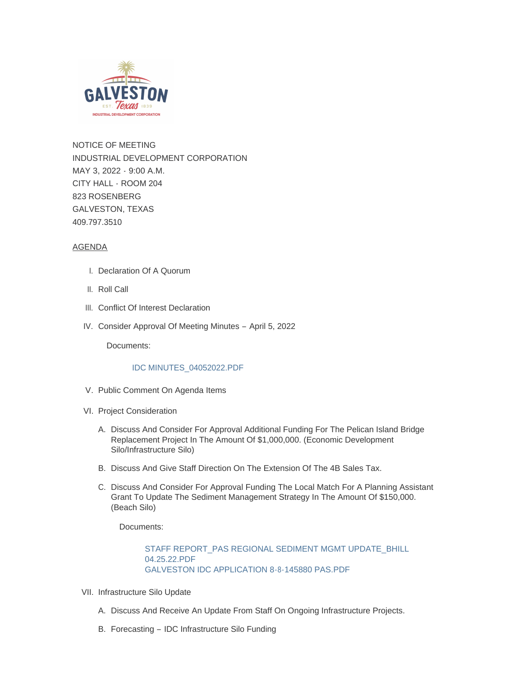

NOTICE OF MEETING INDUSTRIAL DEVELOPMENT CORPORATION MAY 3, 2022 - 9:00 A.M. CITY HALL - ROOM 204 823 ROSENBERG GALVESTON, TEXAS 409.797.3510

# AGENDA

- I. Declaration Of A Quorum
- II. Roll Call
- III. Conflict Of Interest Declaration
- IV. Consider Approval Of Meeting Minutes April 5, 2022

Documents:

## [IDC MINUTES\\_04052022.PDF](https://www.galvestontx.gov/AgendaCenter/ViewFile/Item/14188?fileID=32829)

- V. Public Comment On Agenda Items
- VI. Project Consideration
	- A. Discuss And Consider For Approval Additional Funding For The Pelican Island Bridge Replacement Project In The Amount Of \$1,000,000. (Economic Development Silo/Infrastructure Silo)
	- B. Discuss And Give Staff Direction On The Extension Of The 4B Sales Tax.
	- C. Discuss And Consider For Approval Funding The Local Match For A Planning Assistant Grant To Update The Sediment Management Strategy In The Amount Of \$150,000. (Beach Silo)

Documents:

[STAFF REPORT\\_PAS REGIONAL SEDIMENT MGMT UPDATE\\_BHILL](https://www.galvestontx.gov/AgendaCenter/ViewFile/Item/14192?fileID=32836)  04.25.22.PDF [GALVESTON IDC APPLICATION 8-8-145880 PAS.PDF](https://www.galvestontx.gov/AgendaCenter/ViewFile/Item/14192?fileID=32837)

- VII. Infrastructure Silo Update
	- A. Discuss And Receive An Update From Staff On Ongoing Infrastructure Projects.
	- B. Forecasting IDC Infrastructure Silo Funding